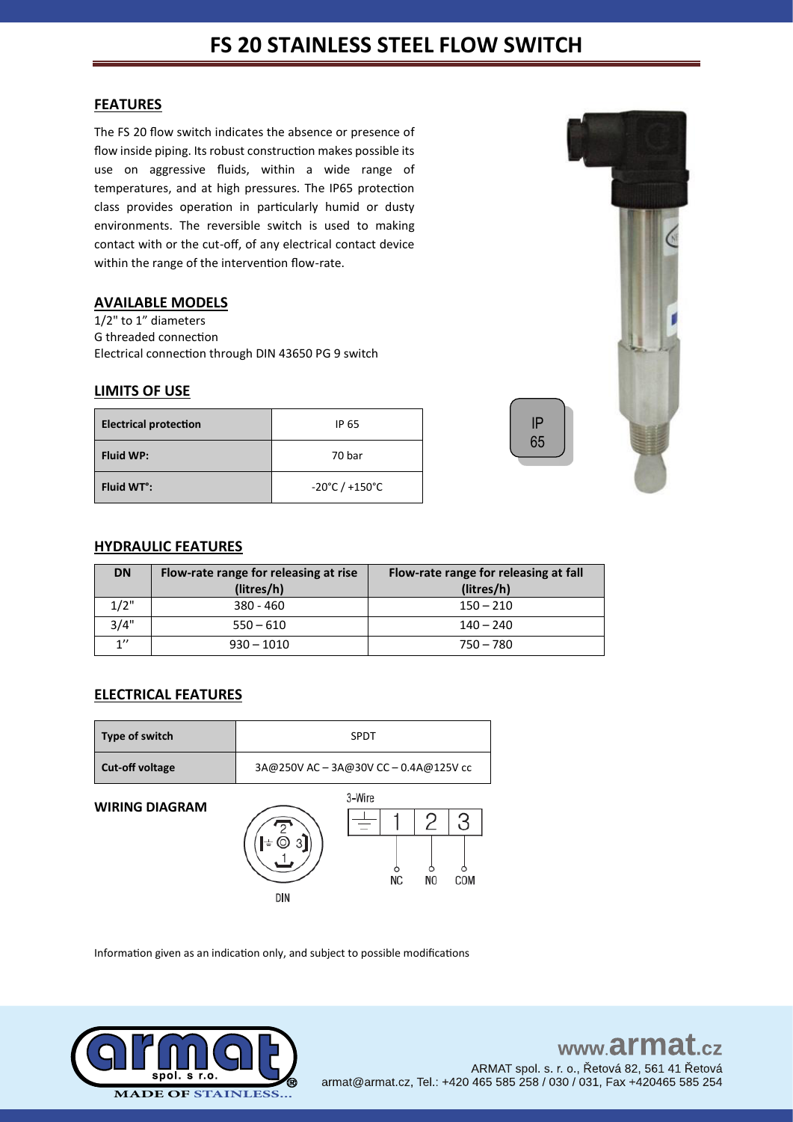# **FS 20 STAINLESS STEEL FLOW SWITCH**

### **FEATURES**

The FS 20 flow switch indicates the absence or presence of flow inside piping. Its robust construction makes possible its use on aggressive fluids, within a wide range of temperatures, and at high pressures. The IP65 protection class provides operation in particularly humid or dusty environments. The reversible switch is used to making contact with or the cut-off, of any electrical contact device within the range of the intervention flow-rate.

### **AVAILABLE MODELS**

1/2" to 1" diameters G threaded connection Electrical connection through DIN 43650 PG 9 switch

### **LIMITS OF USE**

| <b>Electrical protection</b> | IP 65                              |
|------------------------------|------------------------------------|
| <b>Fluid WP:</b>             | 70 bar                             |
| Fluid WT <sup>o</sup> :      | $-20^{\circ}$ C / $+150^{\circ}$ C |

# **HYDRAULIC FEATURES**

| <b>DN</b> | Flow-rate range for releasing at rise<br>Flow-rate range for releasing at fall |             |
|-----------|--------------------------------------------------------------------------------|-------------|
|           | (litres/h)                                                                     | (litres/h)  |
| 1/2"      | 380 - 460                                                                      | $150 - 210$ |
| 3/4"      | $550 - 610$                                                                    | 140 – 240   |
| 1''       | $930 - 1010$                                                                   | 750 – 780   |

# **ELECTRICAL FEATURES**

| Type of switch         | <b>SPDT</b>                           |              |     |     |
|------------------------|---------------------------------------|--------------|-----|-----|
| <b>Cut-off voltage</b> | 3A@250V AC - 3A@30V CC - 0.4A@125V cc |              |     |     |
| <b>WIRING DIAGRAM</b>  | DIN                                   | 3-Wire<br>ΝC | NO. | COM |

Information given as an indication only, and subject to possible modifications





IP 65